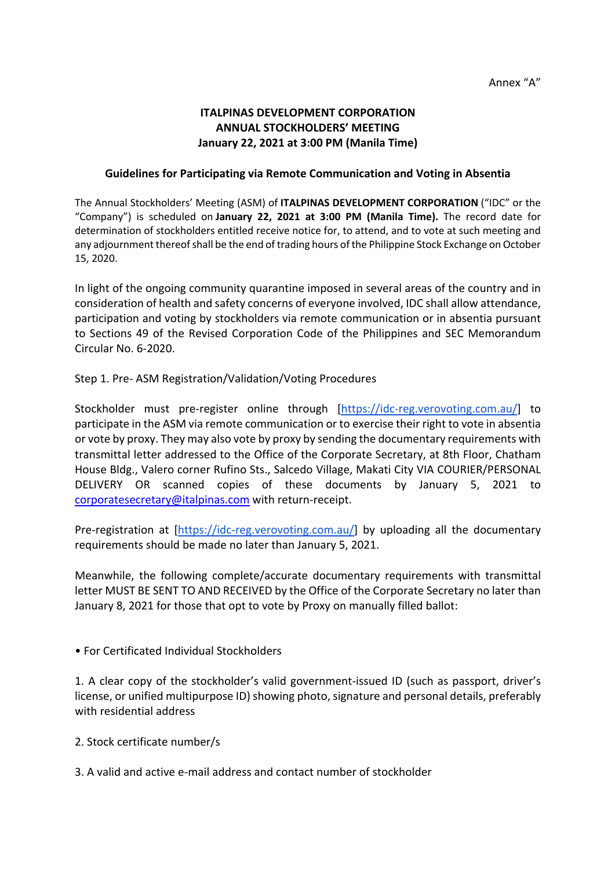# **ITALPINAS DEVELOPMENT CORPORATION ANNUAL STOCKHOLDERS' MEETING January 22, 2021 at 3:00 PM (Manila Time)**

### **Guidelines for Participating via Remote Communication and Voting in Absentia**

The Annual Stockholders' Meeting (ASM) of **ITALPINAS DEVELOPMENT CORPORATION** ("IDC" or the "Company") is scheduled on **January 22, 2021 at 3:00 PM (Manila Time).** The record date for determination of stockholders entitled receive notice for, to attend, and to vote at such meeting and any adjournment thereof shall be the end of trading hours of the Philippine Stock Exchange on October 15, 2020.

In light of the ongoing community quarantine imposed in several areas of the country and in consideration of health and safety concerns of everyone involved, IDC shall allow attendance, participation and voting by stockholders via remote communication or in absentia pursuant to Sections 49 of the Revised Corporation Code of the Philippines and SEC Memorandum Circular No. 6-2020.

## Step 1. Pre- ASM Registration/Validation/Voting Procedures

Stockholder must pre-register online through [https://idc-reg.verovoting.com.au/] to participate in the ASM via remote communication or to exercise their right to vote in absentia or vote by proxy. They may also vote by proxy by sending the documentary requirements with transmittal letter addressed to the Office of the Corporate Secretary, at 8th Floor, Chatham House Bldg., Valero corner Rufino Sts., Salcedo Village, Makati City VIA COURIER/PERSONAL DELIVERY OR scanned copies of these documents by January 5, 2021 to corporatesecretary@italpinas.com with return-receipt.

Pre-registration at [https://idc-reg.verovoting.com.au/] by uploading all the documentary requirements should be made no later than January 5, 2021.

Meanwhile, the following complete/accurate documentary requirements with transmittal letter MUST BE SENT TO AND RECEIVED by the Office of the Corporate Secretary no later than January 8, 2021 for those that opt to vote by Proxy on manually filled ballot:

• For Certificated Individual Stockholders

1. A clear copy of the stockholder's valid government-issued ID (such as passport, driver's license, or unified multipurpose ID) showing photo, signature and personal details, preferably with residential address

- 2. Stock certificate number/s
- 3. A valid and active e-mail address and contact number of stockholder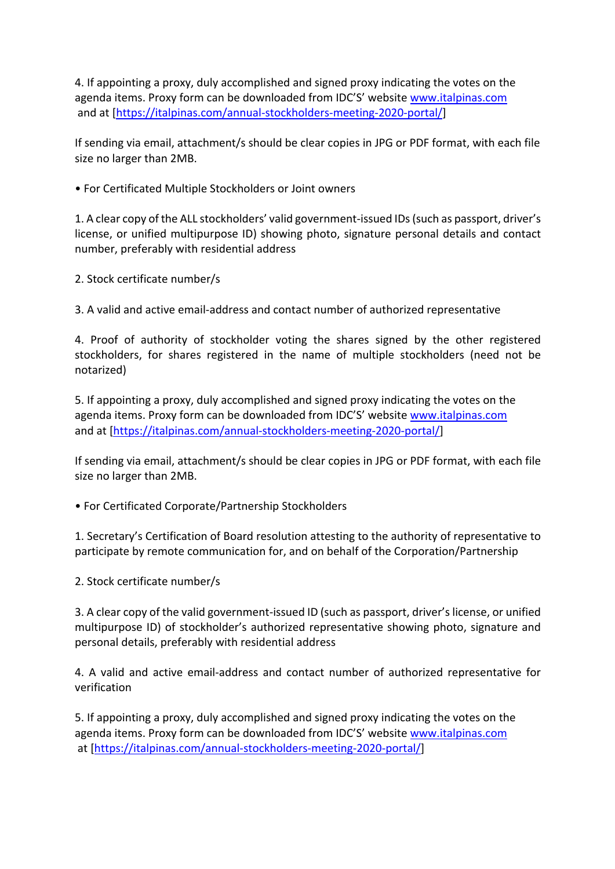4. If appointing a proxy, duly accomplished and signed proxy indicating the votes on the agenda items. Proxy form can be downloaded from IDC'S' website www.italpinas.com and at [https://italpinas.com/annual-stockholders-meeting-2020-portal/]

If sending via email, attachment/s should be clear copies in JPG or PDF format, with each file size no larger than 2MB.

• For Certificated Multiple Stockholders or Joint owners

1. A clear copy of the ALL stockholders' valid government-issued IDs (such as passport, driver's license, or unified multipurpose ID) showing photo, signature personal details and contact number, preferably with residential address

2. Stock certificate number/s

3. A valid and active email-address and contact number of authorized representative

4. Proof of authority of stockholder voting the shares signed by the other registered stockholders, for shares registered in the name of multiple stockholders (need not be notarized)

5. If appointing a proxy, duly accomplished and signed proxy indicating the votes on the agenda items. Proxy form can be downloaded from IDC'S' website www.italpinas.com and at [https://italpinas.com/annual-stockholders-meeting-2020-portal/]

If sending via email, attachment/s should be clear copies in JPG or PDF format, with each file size no larger than 2MB.

• For Certificated Corporate/Partnership Stockholders

1. Secretary's Certification of Board resolution attesting to the authority of representative to participate by remote communication for, and on behalf of the Corporation/Partnership

2. Stock certificate number/s

3. A clear copy of the valid government-issued ID (such as passport, driver's license, or unified multipurpose ID) of stockholder's authorized representative showing photo, signature and personal details, preferably with residential address

4. A valid and active email-address and contact number of authorized representative for verification

5. If appointing a proxy, duly accomplished and signed proxy indicating the votes on the agenda items. Proxy form can be downloaded from IDC'S' website www.italpinas.com at [https://italpinas.com/annual-stockholders-meeting-2020-portal/]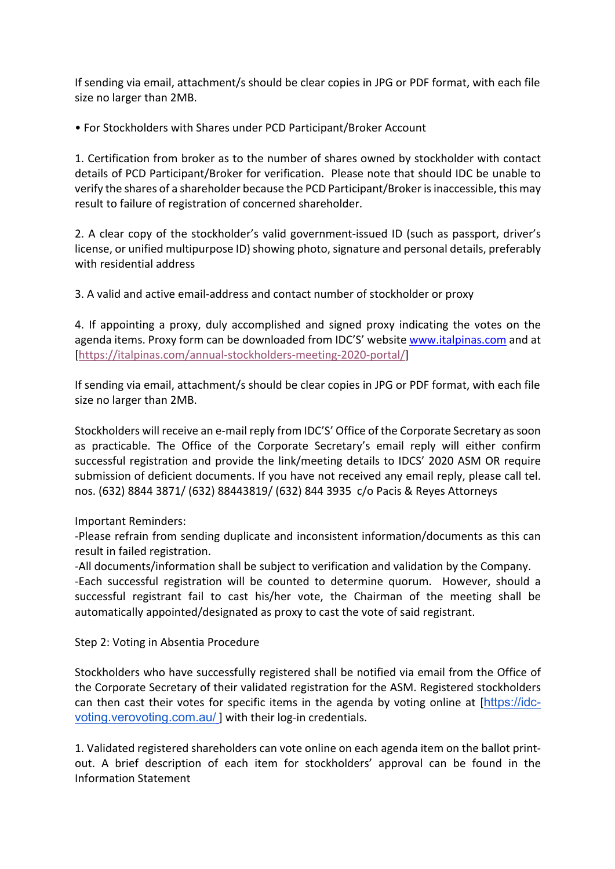If sending via email, attachment/s should be clear copies in JPG or PDF format, with each file size no larger than 2MB.

• For Stockholders with Shares under PCD Participant/Broker Account

1. Certification from broker as to the number of shares owned by stockholder with contact details of PCD Participant/Broker for verification. Please note that should IDC be unable to verify the shares of a shareholder because the PCD Participant/Broker is inaccessible, this may result to failure of registration of concerned shareholder.

2. A clear copy of the stockholder's valid government-issued ID (such as passport, driver's license, or unified multipurpose ID) showing photo, signature and personal details, preferably with residential address

3. A valid and active email-address and contact number of stockholder or proxy

4. If appointing a proxy, duly accomplished and signed proxy indicating the votes on the agenda items. Proxy form can be downloaded from IDC'S' website www.italpinas.com and at [https://italpinas.com/annual-stockholders-meeting-2020-portal/]

If sending via email, attachment/s should be clear copies in JPG or PDF format, with each file size no larger than 2MB.

Stockholders will receive an e-mail reply from IDC'S' Office of the Corporate Secretary as soon as practicable. The Office of the Corporate Secretary's email reply will either confirm successful registration and provide the link/meeting details to IDCS' 2020 ASM OR require submission of deficient documents. If you have not received any email reply, please call tel. nos. (632) 8844 3871/ (632) 88443819/ (632) 844 3935 c/o Pacis & Reyes Attorneys

Important Reminders:

-Please refrain from sending duplicate and inconsistent information/documents as this can result in failed registration.

-All documents/information shall be subject to verification and validation by the Company. -Each successful registration will be counted to determine quorum. However, should a successful registrant fail to cast his/her vote, the Chairman of the meeting shall be automatically appointed/designated as proxy to cast the vote of said registrant.

Step 2: Voting in Absentia Procedure

Stockholders who have successfully registered shall be notified via email from the Office of the Corporate Secretary of their validated registration for the ASM. Registered stockholders can then cast their votes for specific items in the agenda by voting online at [https://idcvoting.verovoting.com.au/ ] with their log-in credentials.

1. Validated registered shareholders can vote online on each agenda item on the ballot printout. A brief description of each item for stockholders' approval can be found in the Information Statement